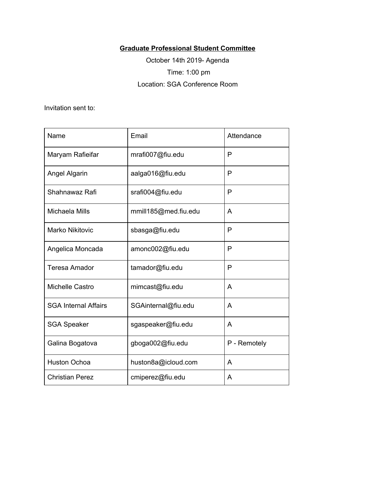## **Graduate Professional Student Committee**

October 14th 2019- Agenda Time: 1:00 pm Location: SGA Conference Room

Invitation sent to:

| Name                        | Email                | Attendance   |
|-----------------------------|----------------------|--------------|
| Maryam Rafieifar            | mrafi007@fiu.edu     | P            |
| Angel Algarin               | aalga016@fiu.edu     | P            |
| Shahnawaz Rafi              | srafi004@fiu.edu     | P            |
| <b>Michaela Mills</b>       | mmill185@med.fiu.edu | A            |
| <b>Marko Nikitovic</b>      | sbasga@fiu.edu       | P            |
| Angelica Moncada            | amonc002@fiu.edu     | P            |
| <b>Teresa Amador</b>        | tamador@fiu.edu      | P            |
| Michelle Castro             | mimcast@fiu.edu      | A            |
| <b>SGA Internal Affairs</b> | SGAinternal@fiu.edu  | A            |
| <b>SGA Speaker</b>          | sgaspeaker@fiu.edu   | A            |
| Galina Bogatova             | gboga002@fiu.edu     | P - Remotely |
| <b>Huston Ochoa</b>         | huston8a@icloud.com  | A            |
| <b>Christian Perez</b>      | cmiperez@fiu.edu     | A            |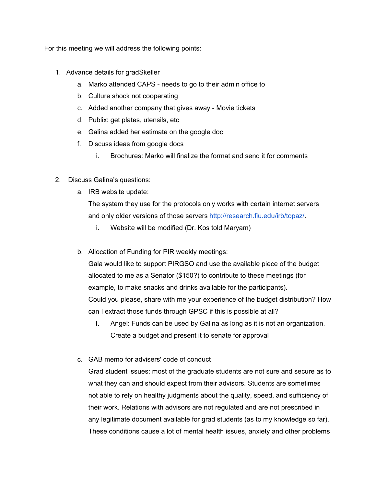For this meeting we will address the following points:

- 1. Advance details for gradSkeller
	- a. Marko attended CAPS needs to go to their admin office to
	- b. Culture shock not cooperating
	- c. Added another company that gives away Movie tickets
	- d. Publix: get plates, utensils, etc
	- e. Galina added her estimate on the google doc
	- f. Discuss ideas from google docs
		- i. Brochures: Marko will finalize the format and send it for comments
- 2. Discuss Galina's questions:
	- a. IRB website update:

The system they use for the protocols only works with certain internet servers and only older versions of those servers [http://research.fiu.edu/irb/topaz/.](http://research.fiu.edu/irb/topaz/)

- i. Website will be modified (Dr. Kos told Maryam)
- b. Allocation of Funding for PIR weekly meetings:

Gala would like to support PIRGSO and use the available piece of the budget allocated to me as a Senator (\$150?) to contribute to these meetings (for example, to make snacks and drinks available for the participants). Could you please, share with me your experience of the budget distribution? How can I extract those funds through GPSC if this is possible at all?

- I. Angel: Funds can be used by Galina as long as it is not an organization. Create a budget and present it to senate for approval
- c. GAB memo for advisers' code of conduct

Grad student issues: most of the graduate students are not sure and secure as to what they can and should expect from their advisors. Students are sometimes not able to rely on healthy judgments about the quality, speed, and sufficiency of their work. Relations with advisors are not regulated and are not prescribed in any legitimate document available for grad students (as to my knowledge so far). These conditions cause a lot of mental health issues, anxiety and other problems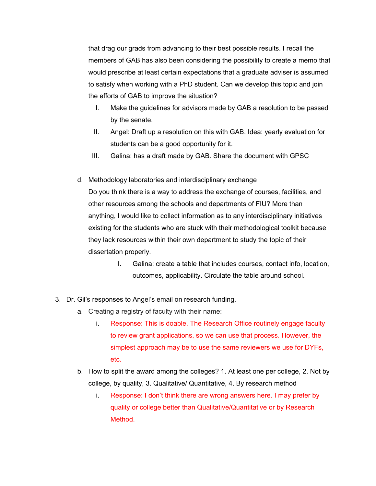that drag our grads from advancing to their best possible results. I recall the members of GAB has also been considering the possibility to create a memo that would prescribe at least certain expectations that a graduate adviser is assumed to satisfy when working with a PhD student. Can we develop this topic and join the efforts of GAB to improve the situation?

- I. Make the guidelines for advisors made by GAB a resolution to be passed by the senate.
- II. Angel: Draft up a resolution on this with GAB. Idea: yearly evaluation for students can be a good opportunity for it.
- III. Galina: has a draft made by GAB. Share the document with GPSC
- d. Methodology laboratories and interdisciplinary exchange Do you think there is a way to address the exchange of courses, facilities, and other resources among the schools and departments of FIU? More than anything, I would like to collect information as to any interdisciplinary initiatives existing for the students who are stuck with their methodological toolkit because they lack resources within their own department to study the topic of their
	- dissertation properly.
		- I. Galina: create a table that includes courses, contact info, location, outcomes, applicability. Circulate the table around school.
- 3. Dr. Gil's responses to Angel's email on research funding.
	- a. Creating a registry of faculty with their name:
		- i. Response: This is doable. The Research Office routinely engage faculty to review grant applications, so we can use that process. However, the simplest approach may be to use the same reviewers we use for DYFs, etc.
	- b. How to split the award among the colleges? 1. At least one per college, 2. Not by college, by quality, 3. Qualitative/ Quantitative, 4. By research method
		- i. Response: I don't think there are wrong answers here. I may prefer by quality or college better than Qualitative/Quantitative or by Research Method.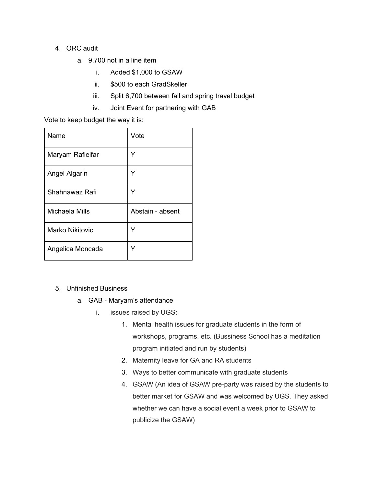## 4. ORC audit

- a. 9,700 not in a line item
	- i. Added \$1,000 to GSAW
	- ii. \$500 to each GradSkeller
	- iii. Split 6,700 between fall and spring travel budget
	- iv. Joint Event for partnering with GAB

Vote to keep budget the way it is:

| Name                   | Vote             |
|------------------------|------------------|
| Maryam Rafieifar       | Y                |
| Angel Algarin          | Y                |
| Shahnawaz Rafi         | Y                |
| Michaela Mills         | Abstain - absent |
| <b>Marko Nikitovic</b> | Y                |
| Angelica Moncada       | Y                |

## 5. Unfinished Business

- a. GAB Maryam's attendance
	- i. issues raised by UGS:
		- 1. Mental health issues for graduate students in the form of workshops, programs, etc. (Bussiness School has a meditation program initiated and run by students)
		- 2. Maternity leave for GA and RA students
		- 3. Ways to better communicate with graduate students
		- 4. GSAW (An idea of GSAW pre-party was raised by the students to better market for GSAW and was welcomed by UGS. They asked whether we can have a social event a week prior to GSAW to publicize the GSAW)